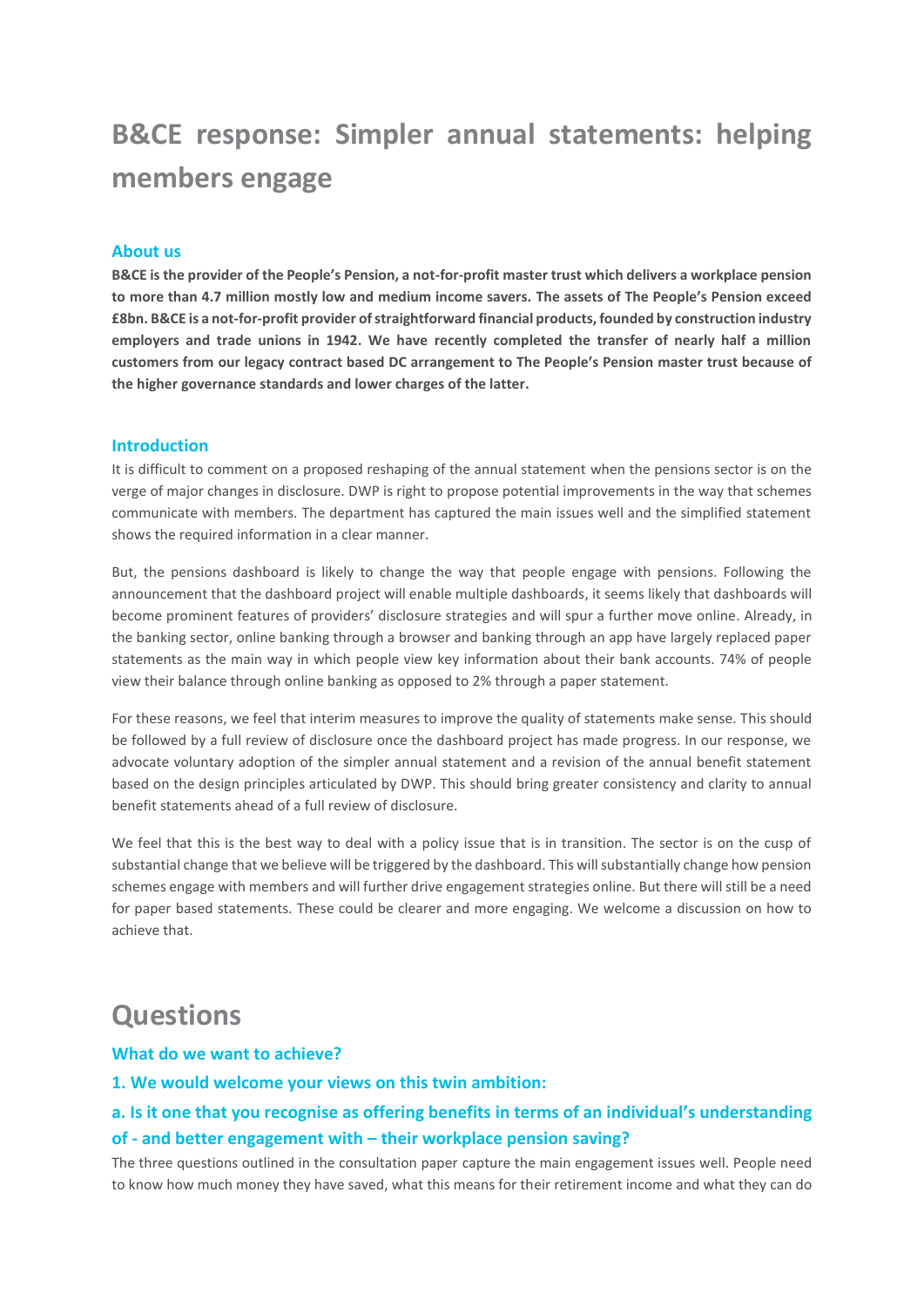# **B&CE response: Simpler annual statements: helping members engage**

### **About us**

**B&CE is the provider of the People's Pension, a not-for-profit master trust which delivers a workplace pension to more than 4.7 million mostly low and medium income savers. The assets of The People's Pension exceed £8bn. B&CE is a not-for-profit provider of straightforward financial products, founded by construction industry employers and trade unions in 1942. We have recently completed the transfer of nearly half a million customers from our legacy contract based DC arrangement to The People's Pension master trust because of the higher governance standards and lower charges of the latter.**

#### **Introduction**

It is difficult to comment on a proposed reshaping of the annual statement when the pensions sector is on the verge of major changes in disclosure. DWP is right to propose potential improvements in the way that schemes communicate with members. The department has captured the main issues well and the simplified statement shows the required information in a clear manner.

But, the pensions dashboard is likely to change the way that people engage with pensions. Following the announcement that the dashboard project will enable multiple dashboards, it seems likely that dashboards will become prominent features of providers' disclosure strategies and will spur a further move online. Already, in the banking sector, online banking through a browser and banking through an app have largely replaced paper statements as the main way in which people view key information about their bank accounts. 74% of people view their balance through online banking as opposed to 2% through a paper statement.

For these reasons, we feel that interim measures to improve the quality of statements make sense. This should be followed by a full review of disclosure once the dashboard project has made progress. In our response, we advocate voluntary adoption of the simpler annual statement and a revision of the annual benefit statement based on the design principles articulated by DWP. This should bring greater consistency and clarity to annual benefit statements ahead of a full review of disclosure.

We feel that this is the best way to deal with a policy issue that is in transition. The sector is on the cusp of substantial change that we believe will be triggered by the dashboard. This will substantially change how pension schemes engage with members and will further drive engagement strategies online. But there will still be a need for paper based statements. These could be clearer and more engaging. We welcome a discussion on how to achieve that.

# **Questions**

#### **What do we want to achieve?**

#### **1. We would welcome your views on this twin ambition:**

### **a. Is it one that you recognise as offering benefits in terms of an individual's understanding of - and better engagement with – their workplace pension saving?**

The three questions outlined in the consultation paper capture the main engagement issues well. People need to know how much money they have saved, what this means for their retirement income and what they can do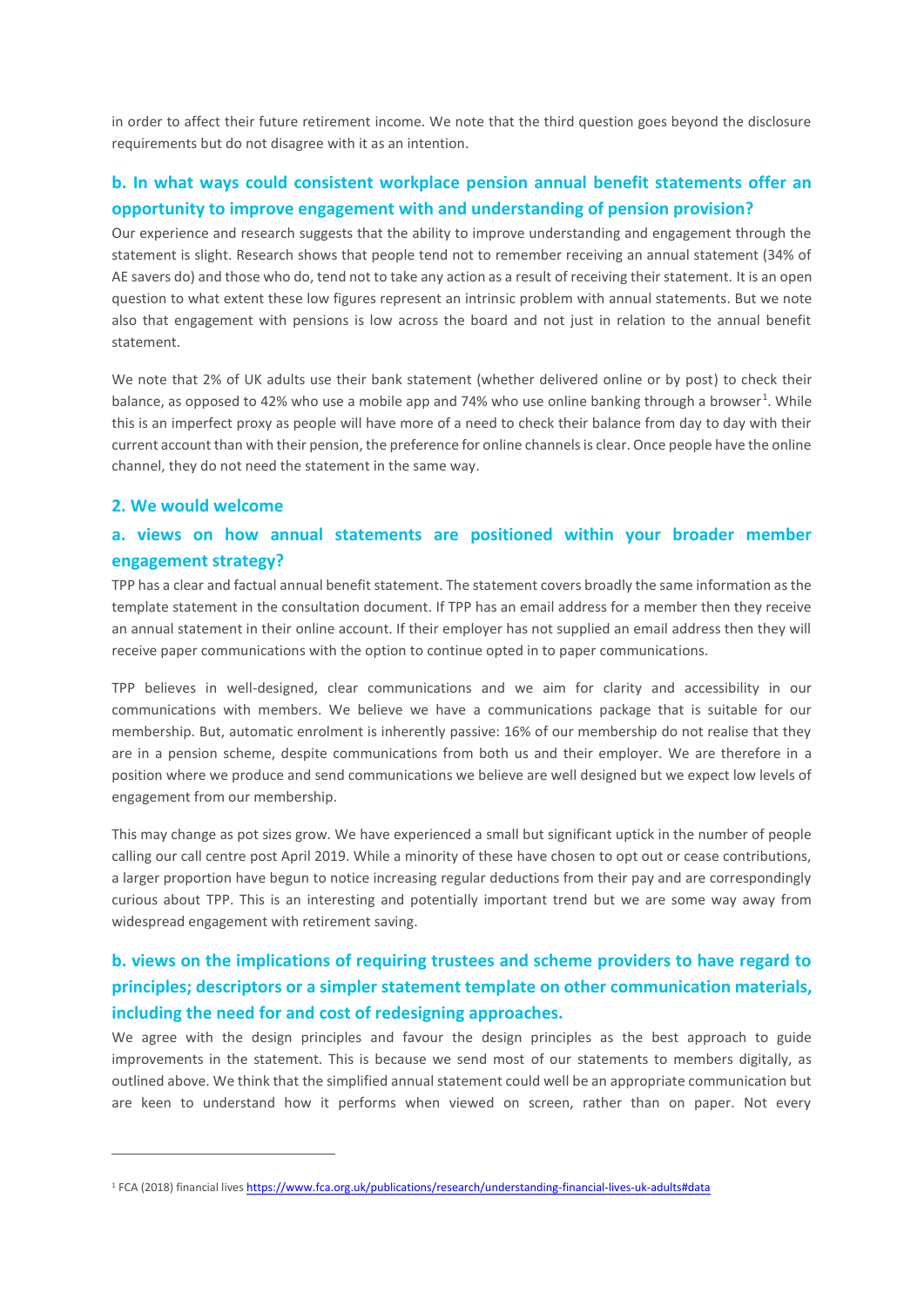in order to affect their future retirement income. We note that the third question goes beyond the disclosure requirements but do not disagree with it as an intention.

### **b. In what ways could consistent workplace pension annual benefit statements offer an opportunity to improve engagement with and understanding of pension provision?**

Our experience and research suggests that the ability to improve understanding and engagement through the statement is slight. Research shows that people tend not to remember receiving an annual statement (34% of AE savers do) and those who do, tend not to take any action as a result of receiving their statement. It is an open question to what extent these low figures represent an intrinsic problem with annual statements. But we note also that engagement with pensions is low across the board and not just in relation to the annual benefit statement.

We note that 2% of UK adults use their bank statement (whether delivered online or by post) to check their balance, as opposed to 42% who use a mobile app and 74% who use online banking through a browser<sup>1</sup>. While this is an imperfect proxy as people will have more of a need to check their balance from day to day with their current account than with their pension, the preference for online channels is clear. Once people have the online channel, they do not need the statement in the same way.

### **2. We would welcome**

1

### **a. views on how annual statements are positioned within your broader member engagement strategy?**

TPP has a clear and factual annual benefit statement. The statement covers broadly the same information as the template statement in the consultation document. If TPP has an email address for a member then they receive an annual statement in their online account. If their employer has not supplied an email address then they will receive paper communications with the option to continue opted in to paper communications.

TPP believes in well-designed, clear communications and we aim for clarity and accessibility in our communications with members. We believe we have a communications package that is suitable for our membership. But, automatic enrolment is inherently passive: 16% of our membership do not realise that they are in a pension scheme, despite communications from both us and their employer. We are therefore in a position where we produce and send communications we believe are well designed but we expect low levels of engagement from our membership.

This may change as pot sizes grow. We have experienced a small but significant uptick in the number of people calling our call centre post April 2019. While a minority of these have chosen to opt out or cease contributions, a larger proportion have begun to notice increasing regular deductions from their pay and are correspondingly curious about TPP. This is an interesting and potentially important trend but we are some way away from widespread engagement with retirement saving.

# **b. views on the implications of requiring trustees and scheme providers to have regard to principles; descriptors or a simpler statement template on other communication materials, including the need for and cost of redesigning approaches.**

We agree with the design principles and favour the design principles as the best approach to guide improvements in the statement. This is because we send most of our statements to members digitally, as outlined above. We think that the simplified annual statement could well be an appropriate communication but are keen to understand how it performs when viewed on screen, rather than on paper. Not every

<sup>1</sup> FCA (2018) financial live[s https://www.fca.org.uk/publications/research/understanding-financial-lives-uk-adults#data](https://www.fca.org.uk/publications/research/understanding-financial-lives-uk-adults#data)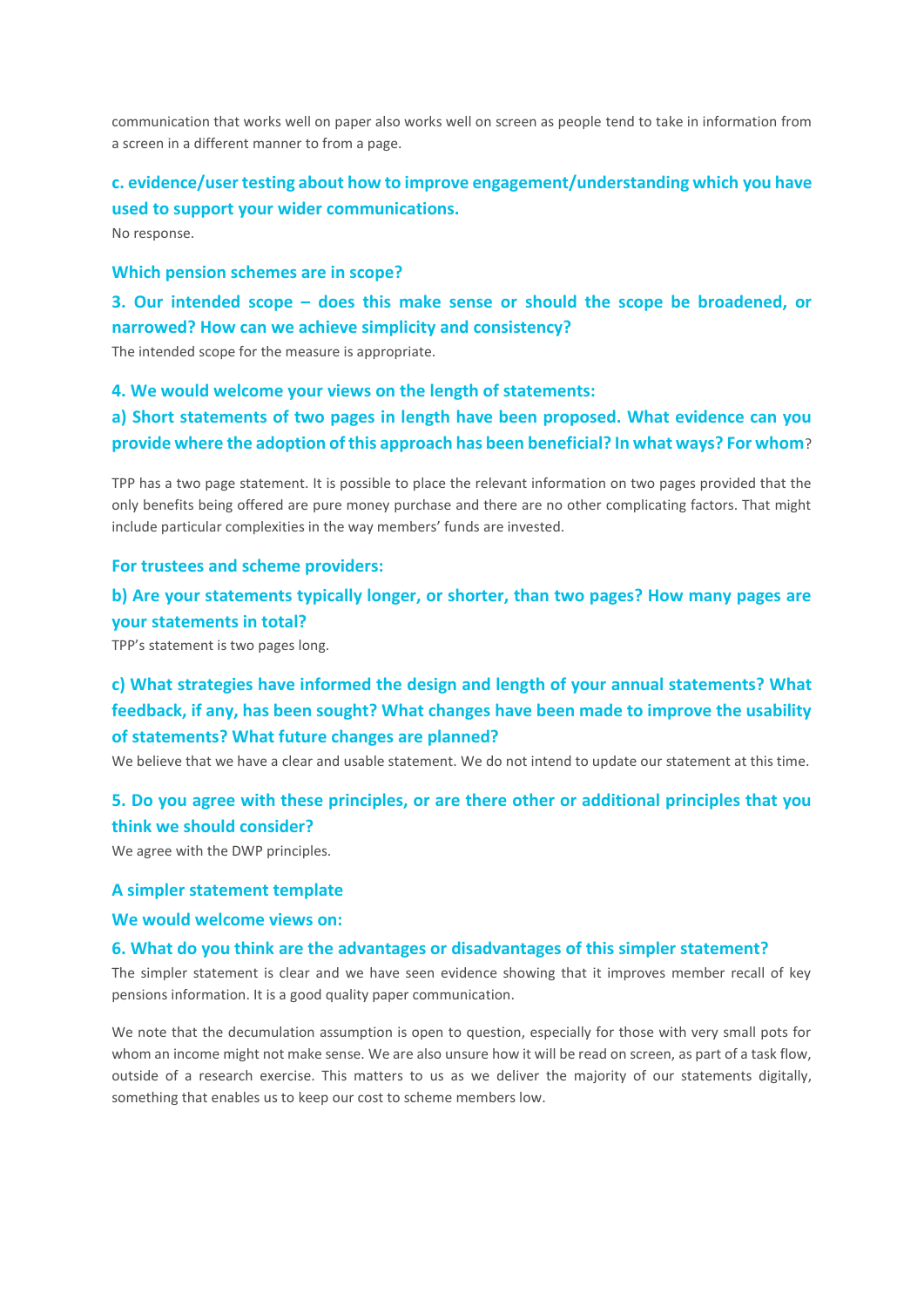communication that works well on paper also works well on screen as people tend to take in information from a screen in a different manner to from a page.

# **c. evidence/user testing about how to improve engagement/understanding which you have used to support your wider communications.**

No response.

### **Which pension schemes are in scope?**

**3. Our intended scope – does this make sense or should the scope be broadened, or narrowed? How can we achieve simplicity and consistency?**

The intended scope for the measure is appropriate.

**4. We would welcome your views on the length of statements:**

### **a) Short statements of two pages in length have been proposed. What evidence can you provide where the adoption of this approach has been beneficial? In what ways? For whom**?

TPP has a two page statement. It is possible to place the relevant information on two pages provided that the only benefits being offered are pure money purchase and there are no other complicating factors. That might include particular complexities in the way members' funds are invested.

#### **For trustees and scheme providers:**

### **b) Are your statements typically longer, or shorter, than two pages? How many pages are your statements in total?**

TPP's statement is two pages long.

## **c) What strategies have informed the design and length of your annual statements? What feedback, if any, has been sought? What changes have been made to improve the usability of statements? What future changes are planned?**

We believe that we have a clear and usable statement. We do not intend to update our statement at this time.

### **5. Do you agree with these principles, or are there other or additional principles that you think we should consider?**

We agree with the DWP principles.

#### **A simpler statement template**

### **We would welcome views on:**

#### **6. What do you think are the advantages or disadvantages of this simpler statement?**

The simpler statement is clear and we have seen evidence showing that it improves member recall of key pensions information. It is a good quality paper communication.

We note that the decumulation assumption is open to question, especially for those with very small pots for whom an income might not make sense. We are also unsure how it will be read on screen, as part of a task flow, outside of a research exercise. This matters to us as we deliver the majority of our statements digitally, something that enables us to keep our cost to scheme members low.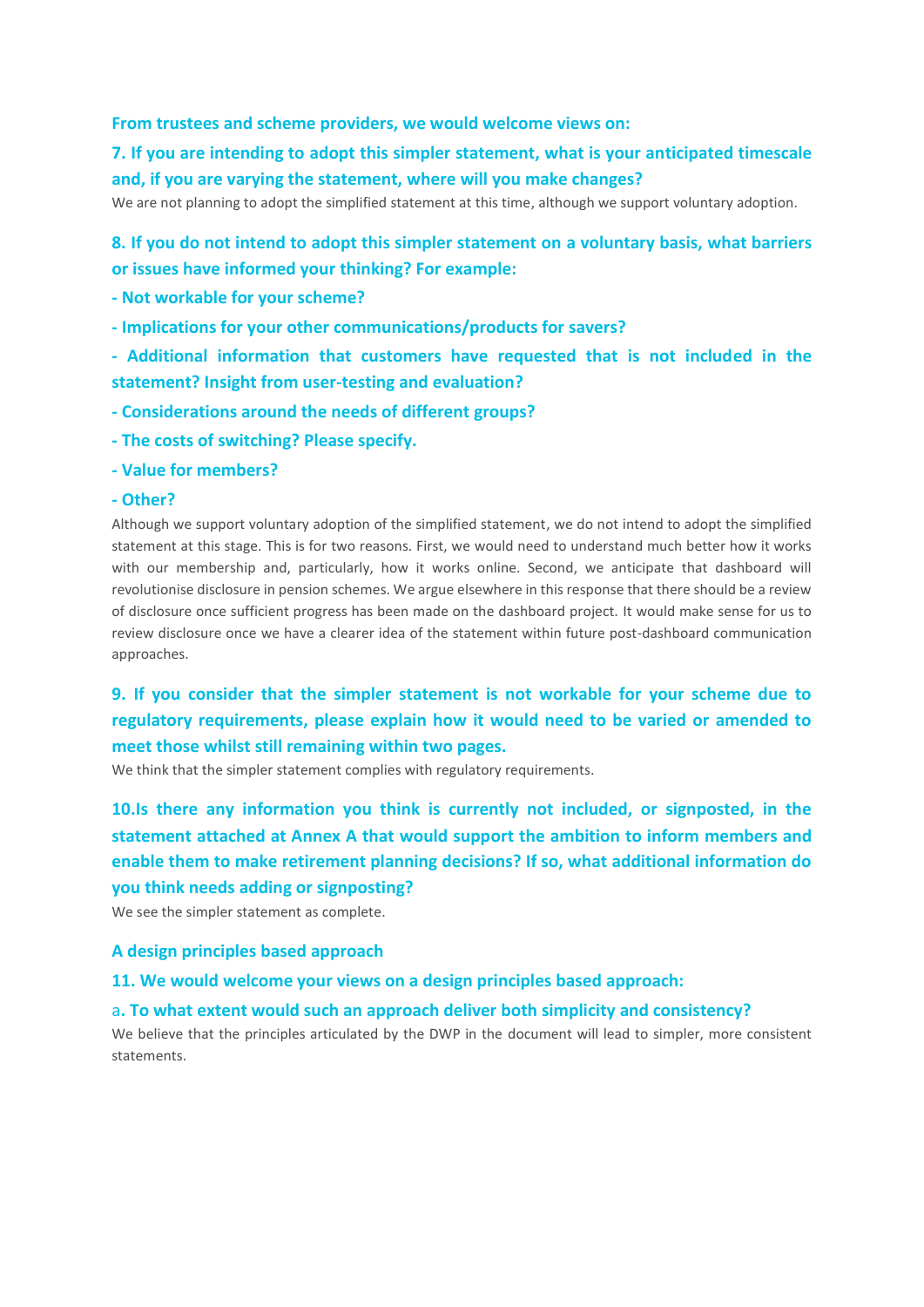### **From trustees and scheme providers, we would welcome views on:**

# **7. If you are intending to adopt this simpler statement, what is your anticipated timescale and, if you are varying the statement, where will you make changes?**

We are not planning to adopt the simplified statement at this time, although we support voluntary adoption.

### **8. If you do not intend to adopt this simpler statement on a voluntary basis, what barriers or issues have informed your thinking? For example:**

- **- Not workable for your scheme?**
- **- Implications for your other communications/products for savers?**
- **- Additional information that customers have requested that is not included in the statement? Insight from user-testing and evaluation?**
- **- Considerations around the needs of different groups?**
- **- The costs of switching? Please specify.**
- **- Value for members?**

#### **- Other?**

Although we support voluntary adoption of the simplified statement, we do not intend to adopt the simplified statement at this stage. This is for two reasons. First, we would need to understand much better how it works with our membership and, particularly, how it works online. Second, we anticipate that dashboard will revolutionise disclosure in pension schemes. We argue elsewhere in this response that there should be a review of disclosure once sufficient progress has been made on the dashboard project. It would make sense for us to review disclosure once we have a clearer idea of the statement within future post-dashboard communication approaches.

# **9. If you consider that the simpler statement is not workable for your scheme due to regulatory requirements, please explain how it would need to be varied or amended to meet those whilst still remaining within two pages.**

We think that the simpler statement complies with regulatory requirements.

# **10.Is there any information you think is currently not included, or signposted, in the statement attached at Annex A that would support the ambition to inform members and enable them to make retirement planning decisions? If so, what additional information do you think needs adding or signposting?**

We see the simpler statement as complete.

### **A design principles based approach**

**11. We would welcome your views on a design principles based approach:**

### a**. To what extent would such an approach deliver both simplicity and consistency?**

We believe that the principles articulated by the DWP in the document will lead to simpler, more consistent statements.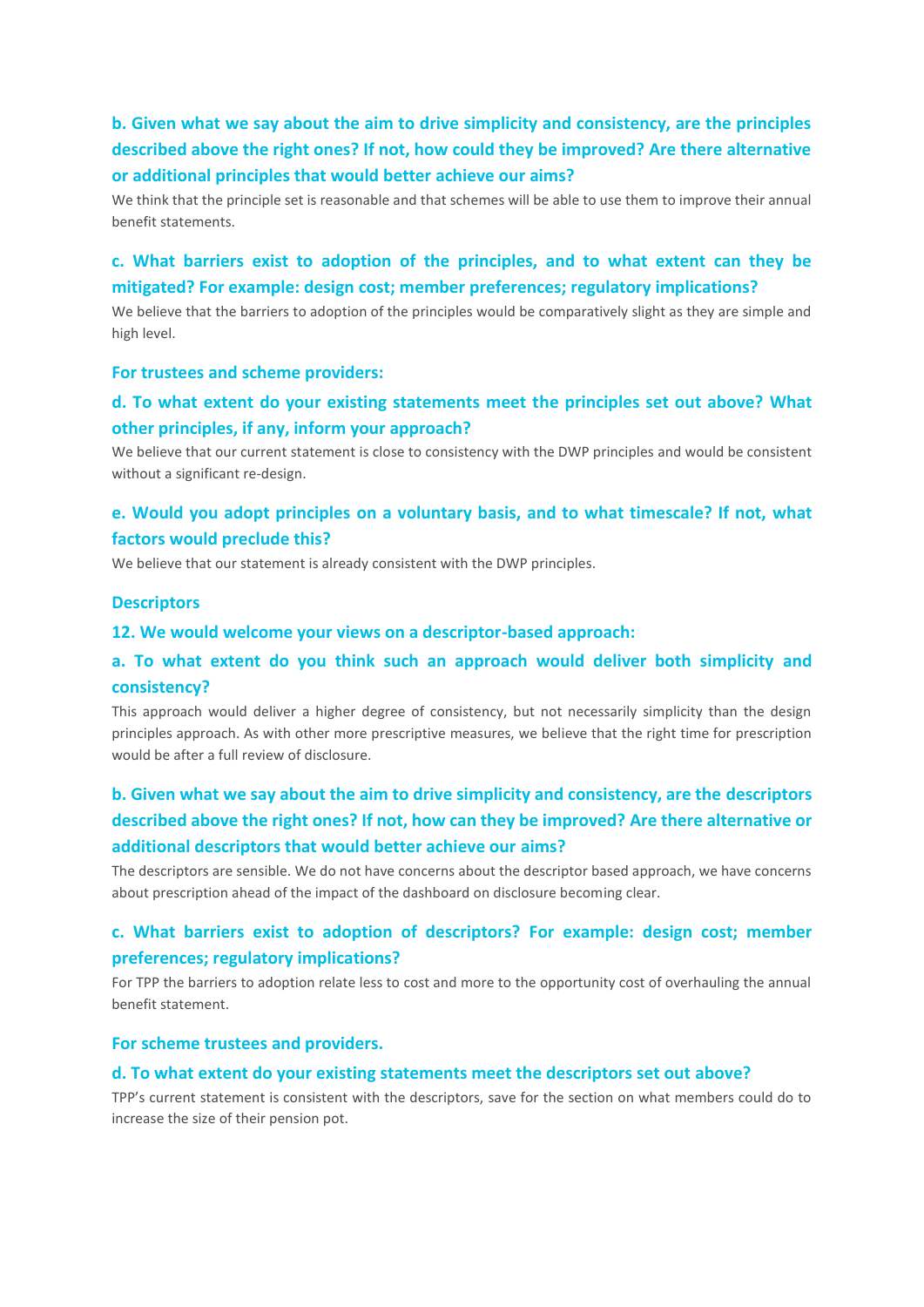# **b. Given what we say about the aim to drive simplicity and consistency, are the principles described above the right ones? If not, how could they be improved? Are there alternative or additional principles that would better achieve our aims?**

We think that the principle set is reasonable and that schemes will be able to use them to improve their annual benefit statements.

### **c. What barriers exist to adoption of the principles, and to what extent can they be mitigated? For example: design cost; member preferences; regulatory implications?**

We believe that the barriers to adoption of the principles would be comparatively slight as they are simple and high level.

### **For trustees and scheme providers:**

### **d. To what extent do your existing statements meet the principles set out above? What other principles, if any, inform your approach?**

We believe that our current statement is close to consistency with the DWP principles and would be consistent without a significant re-design.

### **e. Would you adopt principles on a voluntary basis, and to what timescale? If not, what factors would preclude this?**

We believe that our statement is already consistent with the DWP principles.

### **Descriptors**

#### **12. We would welcome your views on a descriptor-based approach:**

### **a. To what extent do you think such an approach would deliver both simplicity and consistency?**

This approach would deliver a higher degree of consistency, but not necessarily simplicity than the design principles approach. As with other more prescriptive measures, we believe that the right time for prescription would be after a full review of disclosure.

# **b. Given what we say about the aim to drive simplicity and consistency, are the descriptors described above the right ones? If not, how can they be improved? Are there alternative or additional descriptors that would better achieve our aims?**

The descriptors are sensible. We do not have concerns about the descriptor based approach, we have concerns about prescription ahead of the impact of the dashboard on disclosure becoming clear.

### **c. What barriers exist to adoption of descriptors? For example: design cost; member preferences; regulatory implications?**

For TPP the barriers to adoption relate less to cost and more to the opportunity cost of overhauling the annual benefit statement.

### **For scheme trustees and providers.**

#### **d. To what extent do your existing statements meet the descriptors set out above?**

TPP's current statement is consistent with the descriptors, save for the section on what members could do to increase the size of their pension pot.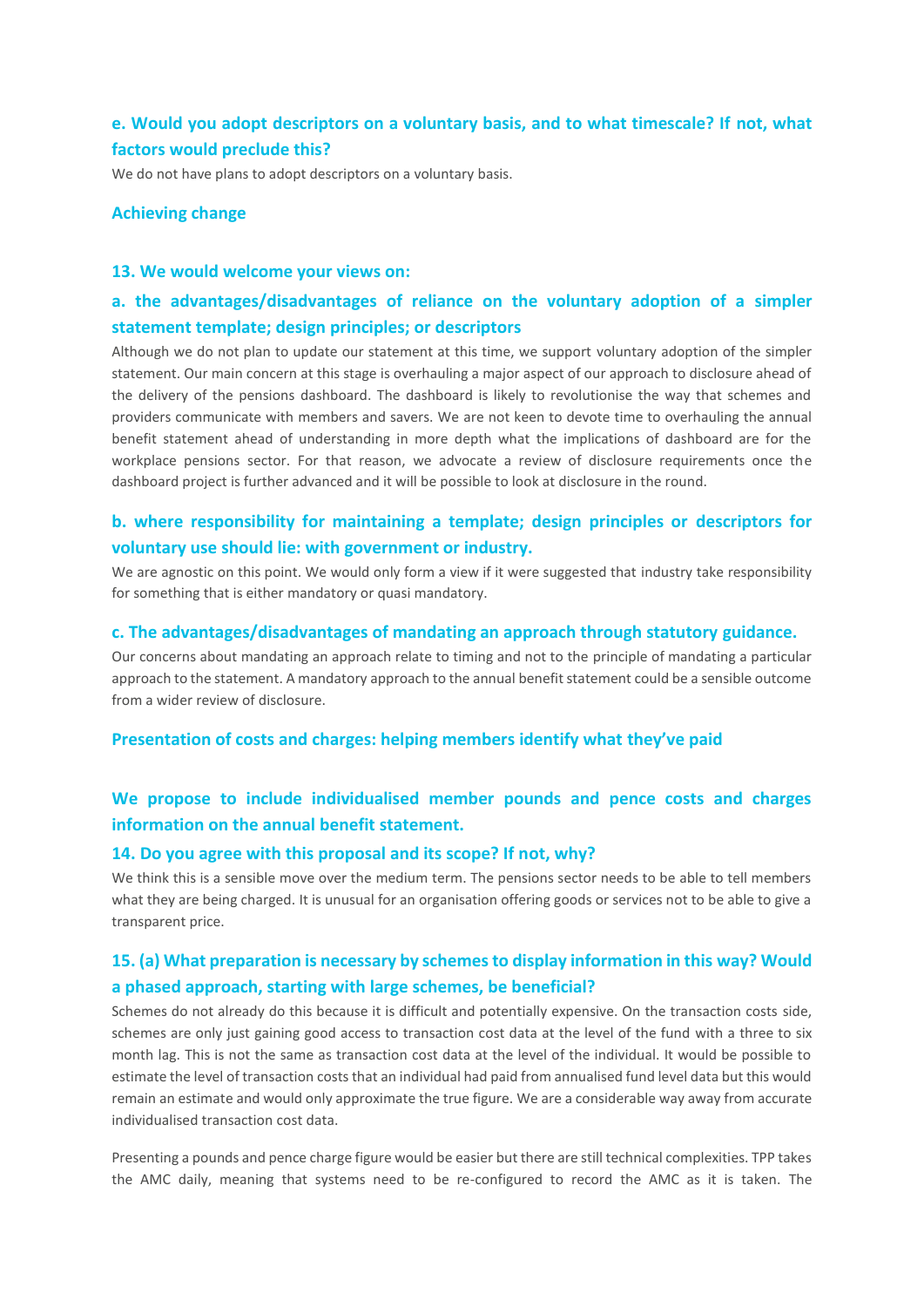### **e. Would you adopt descriptors on a voluntary basis, and to what timescale? If not, what factors would preclude this?**

We do not have plans to adopt descriptors on a voluntary basis.

#### **Achieving change**

### **13. We would welcome your views on:**

### **a. the advantages/disadvantages of reliance on the voluntary adoption of a simpler statement template; design principles; or descriptors**

Although we do not plan to update our statement at this time, we support voluntary adoption of the simpler statement. Our main concern at this stage is overhauling a major aspect of our approach to disclosure ahead of the delivery of the pensions dashboard. The dashboard is likely to revolutionise the way that schemes and providers communicate with members and savers. We are not keen to devote time to overhauling the annual benefit statement ahead of understanding in more depth what the implications of dashboard are for the workplace pensions sector. For that reason, we advocate a review of disclosure requirements once the dashboard project is further advanced and it will be possible to look at disclosure in the round.

### **b. where responsibility for maintaining a template; design principles or descriptors for voluntary use should lie: with government or industry.**

We are agnostic on this point. We would only form a view if it were suggested that industry take responsibility for something that is either mandatory or quasi mandatory.

#### **c. The advantages/disadvantages of mandating an approach through statutory guidance.**

Our concerns about mandating an approach relate to timing and not to the principle of mandating a particular approach to the statement. A mandatory approach to the annual benefit statement could be a sensible outcome from a wider review of disclosure.

#### **Presentation of costs and charges: helping members identify what they've paid**

### **We propose to include individualised member pounds and pence costs and charges information on the annual benefit statement.**

#### **14. Do you agree with this proposal and its scope? If not, why?**

We think this is a sensible move over the medium term. The pensions sector needs to be able to tell members what they are being charged. It is unusual for an organisation offering goods or services not to be able to give a transparent price.

### **15. (a) What preparation is necessary by schemes to display information in this way? Would a phased approach, starting with large schemes, be beneficial?**

Schemes do not already do this because it is difficult and potentially expensive. On the transaction costs side, schemes are only just gaining good access to transaction cost data at the level of the fund with a three to six month lag. This is not the same as transaction cost data at the level of the individual. It would be possible to estimate the level of transaction costs that an individual had paid from annualised fund level data but this would remain an estimate and would only approximate the true figure. We are a considerable way away from accurate individualised transaction cost data.

Presenting a pounds and pence charge figure would be easier but there are still technical complexities. TPP takes the AMC daily, meaning that systems need to be re-configured to record the AMC as it is taken. The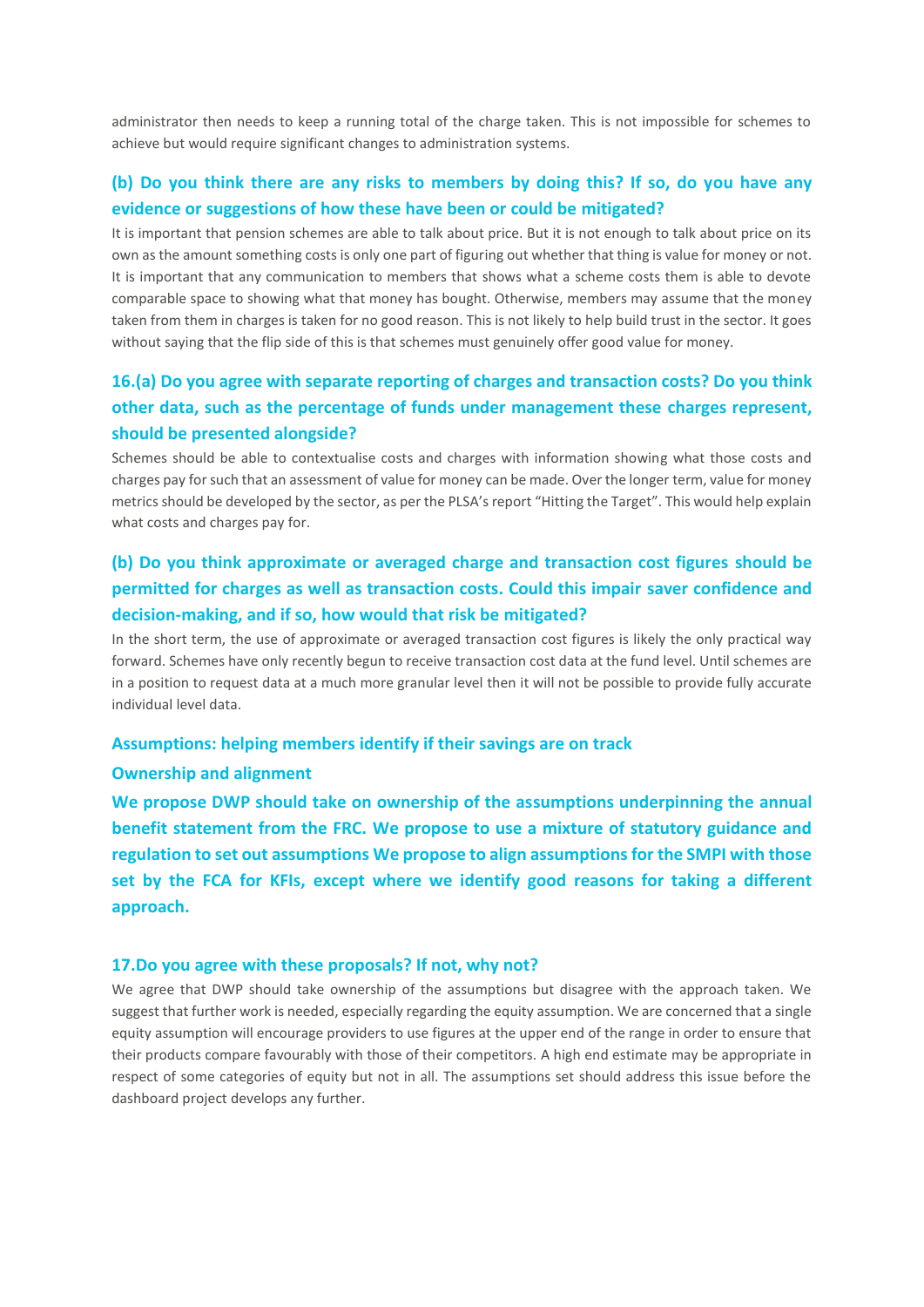administrator then needs to keep a running total of the charge taken. This is not impossible for schemes to achieve but would require significant changes to administration systems.

### **(b) Do you think there are any risks to members by doing this? If so, do you have any evidence or suggestions of how these have been or could be mitigated?**

It is important that pension schemes are able to talk about price. But it is not enough to talk about price on its own as the amount something costs is only one part of figuring out whether that thing is value for money or not. It is important that any communication to members that shows what a scheme costs them is able to devote comparable space to showing what that money has bought. Otherwise, members may assume that the money taken from them in charges is taken for no good reason. This is not likely to help build trust in the sector. It goes without saying that the flip side of this is that schemes must genuinely offer good value for money.

# **16.(a) Do you agree with separate reporting of charges and transaction costs? Do you think other data, such as the percentage of funds under management these charges represent, should be presented alongside?**

Schemes should be able to contextualise costs and charges with information showing what those costs and charges pay for such that an assessment of value for money can be made. Over the longer term, value for money metrics should be developed by the sector, as per the PLSA's report "Hitting the Target". This would help explain what costs and charges pay for.

# **(b) Do you think approximate or averaged charge and transaction cost figures should be permitted for charges as well as transaction costs. Could this impair saver confidence and decision-making, and if so, how would that risk be mitigated?**

In the short term, the use of approximate or averaged transaction cost figures is likely the only practical way forward. Schemes have only recently begun to receive transaction cost data at the fund level. Until schemes are in a position to request data at a much more granular level then it will not be possible to provide fully accurate individual level data.

### **Assumptions: helping members identify if their savings are on track**

### **Ownership and alignment**

**We propose DWP should take on ownership of the assumptions underpinning the annual benefit statement from the FRC. We propose to use a mixture of statutory guidance and regulation to set out assumptions We propose to align assumptions for the SMPI with those set by the FCA for KFIs, except where we identify good reasons for taking a different approach.**

#### **17.Do you agree with these proposals? If not, why not?**

We agree that DWP should take ownership of the assumptions but disagree with the approach taken. We suggest that further work is needed, especially regarding the equity assumption. We are concerned that a single equity assumption will encourage providers to use figures at the upper end of the range in order to ensure that their products compare favourably with those of their competitors. A high end estimate may be appropriate in respect of some categories of equity but not in all. The assumptions set should address this issue before the dashboard project develops any further.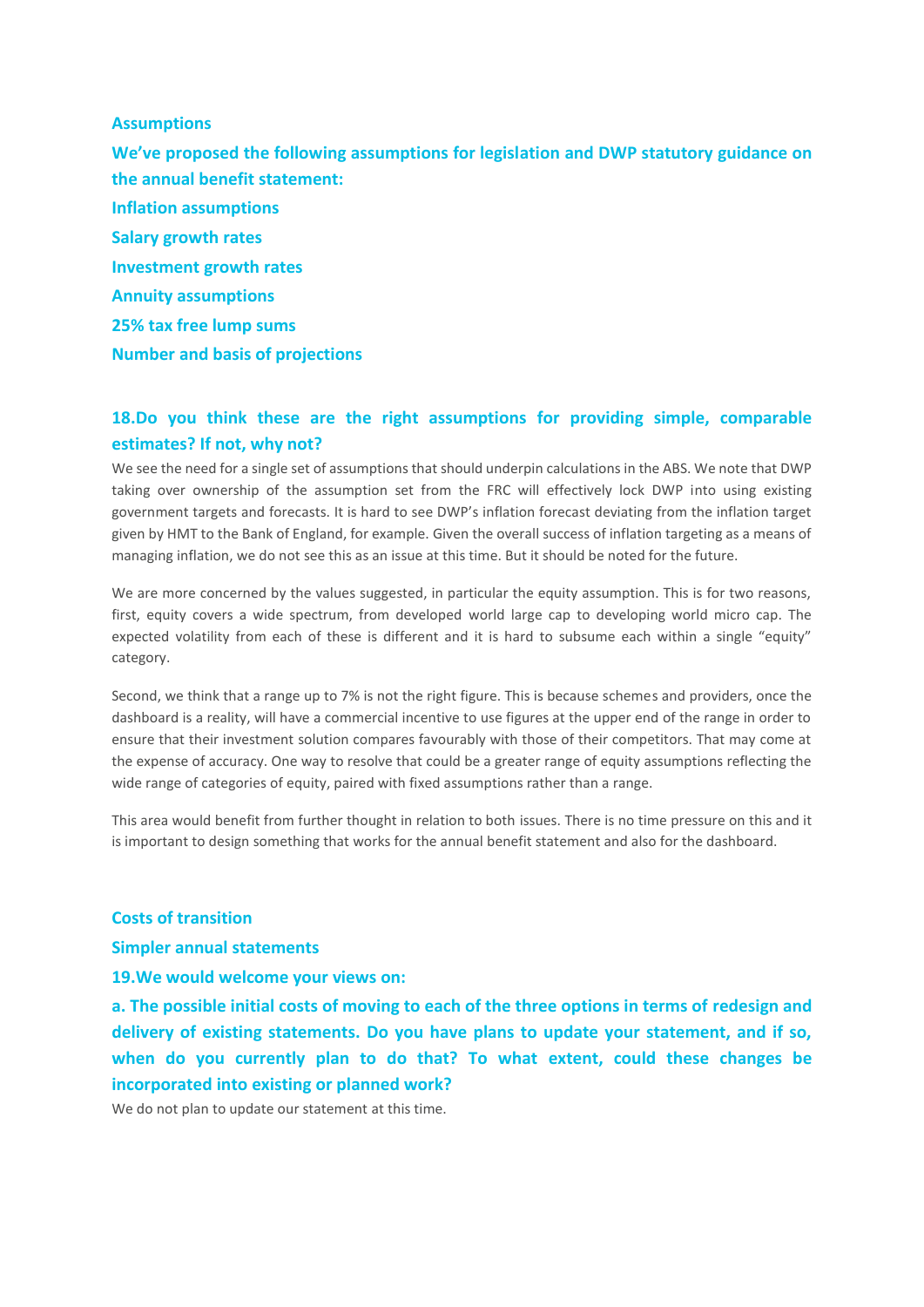#### **Assumptions**

**We've proposed the following assumptions for legislation and DWP statutory guidance on the annual benefit statement: Inflation assumptions Salary growth rates Investment growth rates Annuity assumptions 25% tax free lump sums Number and basis of projections**

### **18.Do you think these are the right assumptions for providing simple, comparable estimates? If not, why not?**

We see the need for a single set of assumptions that should underpin calculations in the ABS. We note that DWP taking over ownership of the assumption set from the FRC will effectively lock DWP into using existing government targets and forecasts. It is hard to see DWP's inflation forecast deviating from the inflation target given by HMT to the Bank of England, for example. Given the overall success of inflation targeting as a means of managing inflation, we do not see this as an issue at this time. But it should be noted for the future.

We are more concerned by the values suggested, in particular the equity assumption. This is for two reasons, first, equity covers a wide spectrum, from developed world large cap to developing world micro cap. The expected volatility from each of these is different and it is hard to subsume each within a single "equity" category.

Second, we think that a range up to 7% is not the right figure. This is because schemes and providers, once the dashboard is a reality, will have a commercial incentive to use figures at the upper end of the range in order to ensure that their investment solution compares favourably with those of their competitors. That may come at the expense of accuracy. One way to resolve that could be a greater range of equity assumptions reflecting the wide range of categories of equity, paired with fixed assumptions rather than a range.

This area would benefit from further thought in relation to both issues. There is no time pressure on this and it is important to design something that works for the annual benefit statement and also for the dashboard.

#### **Costs of transition**

**Simpler annual statements**

**19.We would welcome your views on:**

**a. The possible initial costs of moving to each of the three options in terms of redesign and delivery of existing statements. Do you have plans to update your statement, and if so, when do you currently plan to do that? To what extent, could these changes be incorporated into existing or planned work?**

We do not plan to update our statement at this time.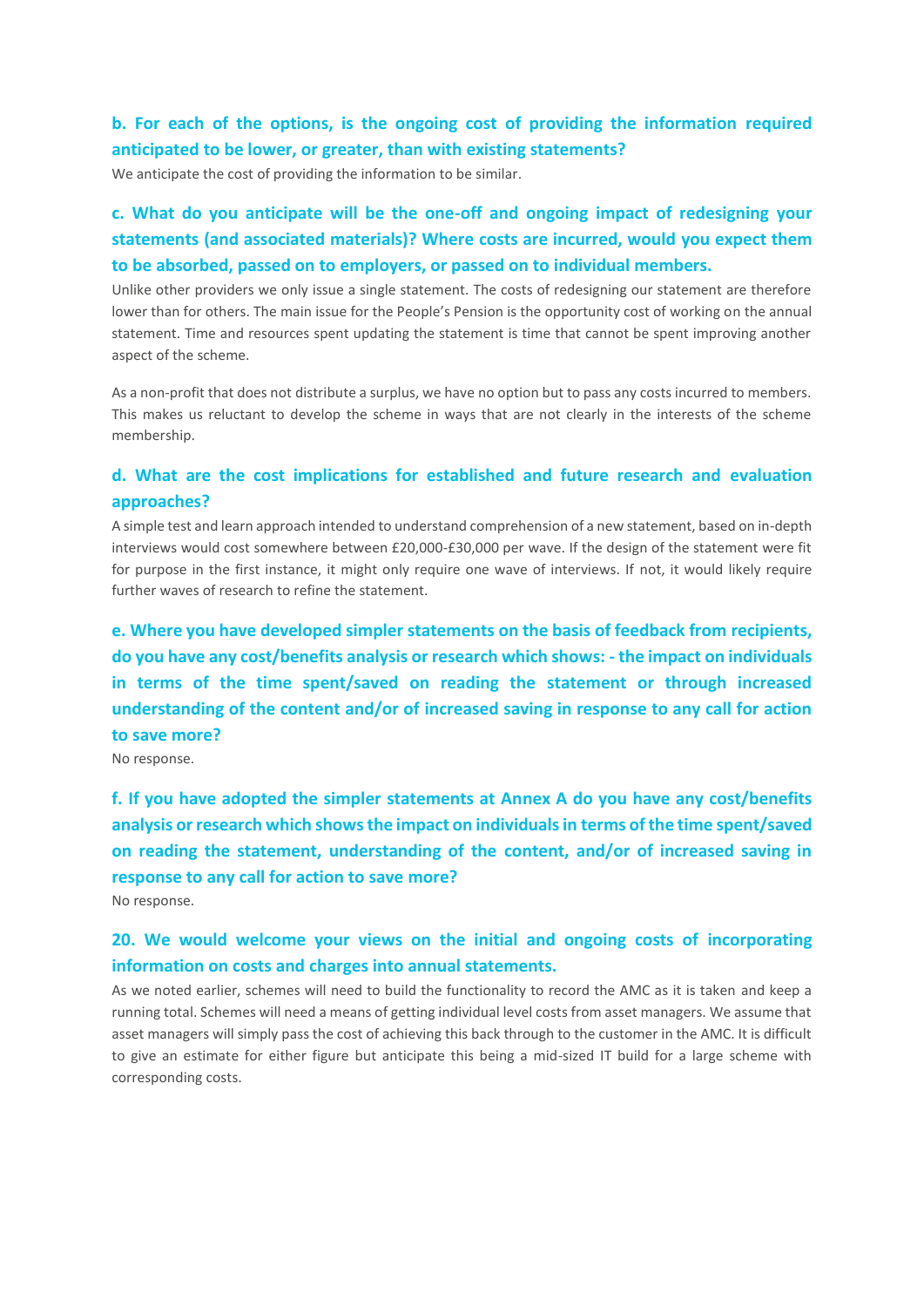# **b. For each of the options, is the ongoing cost of providing the information required anticipated to be lower, or greater, than with existing statements?**

We anticipate the cost of providing the information to be similar.

# **c. What do you anticipate will be the one-off and ongoing impact of redesigning your statements (and associated materials)? Where costs are incurred, would you expect them to be absorbed, passed on to employers, or passed on to individual members.**

Unlike other providers we only issue a single statement. The costs of redesigning our statement are therefore lower than for others. The main issue for the People's Pension is the opportunity cost of working on the annual statement. Time and resources spent updating the statement is time that cannot be spent improving another aspect of the scheme.

As a non-profit that does not distribute a surplus, we have no option but to pass any costs incurred to members. This makes us reluctant to develop the scheme in ways that are not clearly in the interests of the scheme membership.

### **d. What are the cost implications for established and future research and evaluation approaches?**

A simple test and learn approach intended to understand comprehension of a new statement, based on in-depth interviews would cost somewhere between £20,000-£30,000 per wave. If the design of the statement were fit for purpose in the first instance, it might only require one wave of interviews. If not, it would likely require further waves of research to refine the statement.

**e. Where you have developed simpler statements on the basis of feedback from recipients, do you have any cost/benefits analysis or research which shows: - the impact on individuals in terms of the time spent/saved on reading the statement or through increased understanding of the content and/or of increased saving in response to any call for action to save more?**

No response.

**f. If you have adopted the simpler statements at Annex A do you have any cost/benefits analysis or research which shows the impact on individuals in terms of the time spent/saved on reading the statement, understanding of the content, and/or of increased saving in response to any call for action to save more?**

No response.

### **20. We would welcome your views on the initial and ongoing costs of incorporating information on costs and charges into annual statements.**

As we noted earlier, schemes will need to build the functionality to record the AMC as it is taken and keep a running total. Schemes will need a means of getting individual level costs from asset managers. We assume that asset managers will simply pass the cost of achieving this back through to the customer in the AMC. It is difficult to give an estimate for either figure but anticipate this being a mid-sized IT build for a large scheme with corresponding costs.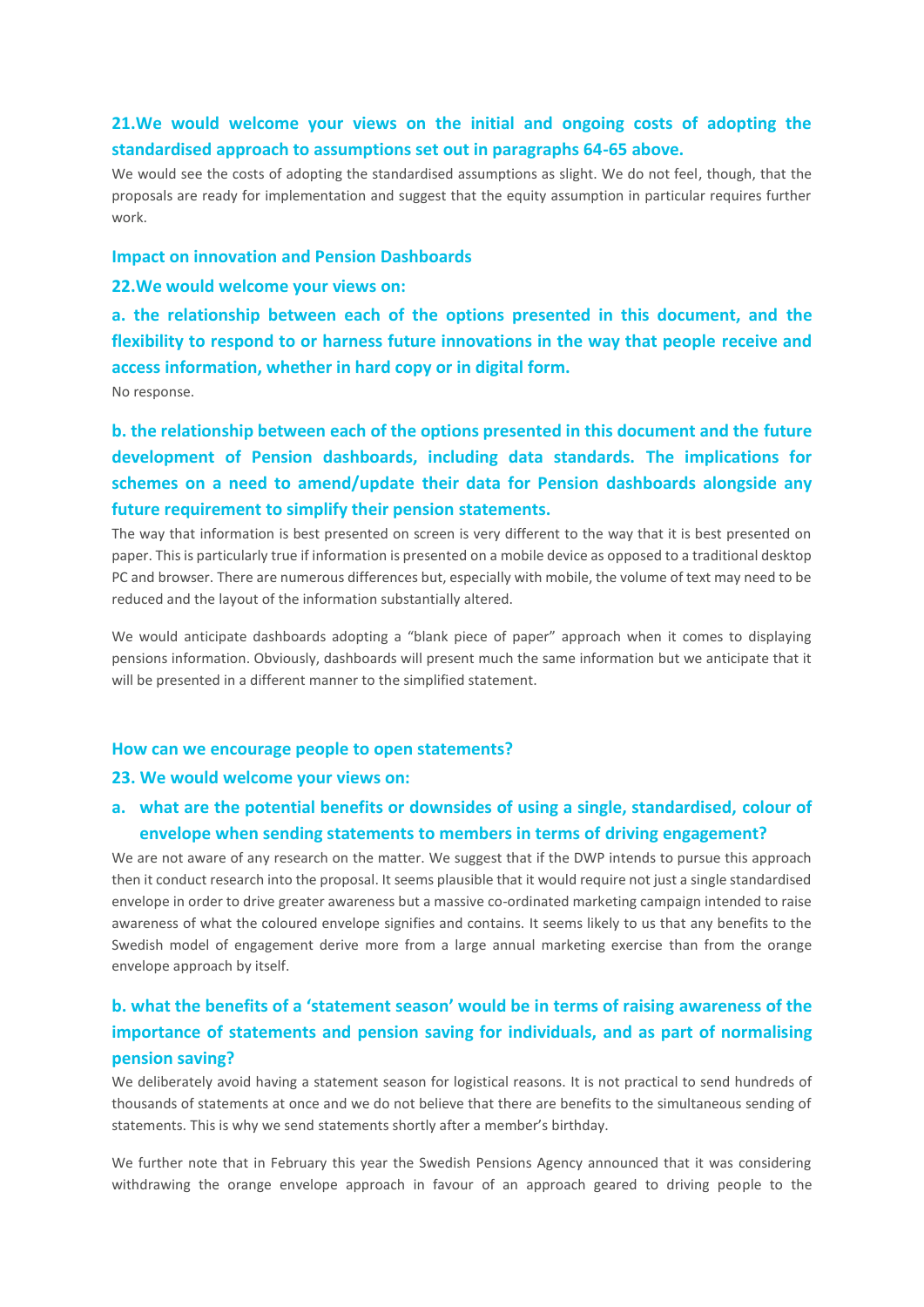### **21.We would welcome your views on the initial and ongoing costs of adopting the standardised approach to assumptions set out in paragraphs 64-65 above.**

We would see the costs of adopting the standardised assumptions as slight. We do not feel, though, that the proposals are ready for implementation and suggest that the equity assumption in particular requires further work.

#### **Impact on innovation and Pension Dashboards**

**22.We would welcome your views on:**

**a. the relationship between each of the options presented in this document, and the flexibility to respond to or harness future innovations in the way that people receive and access information, whether in hard copy or in digital form.**

No response.

**b. the relationship between each of the options presented in this document and the future development of Pension dashboards, including data standards. The implications for schemes on a need to amend/update their data for Pension dashboards alongside any future requirement to simplify their pension statements.**

The way that information is best presented on screen is very different to the way that it is best presented on paper. This is particularly true if information is presented on a mobile device as opposed to a traditional desktop PC and browser. There are numerous differences but, especially with mobile, the volume of text may need to be reduced and the layout of the information substantially altered.

We would anticipate dashboards adopting a "blank piece of paper" approach when it comes to displaying pensions information. Obviously, dashboards will present much the same information but we anticipate that it will be presented in a different manner to the simplified statement.

#### **How can we encourage people to open statements?**

#### **23. We would welcome your views on:**

### **a. what are the potential benefits or downsides of using a single, standardised, colour of envelope when sending statements to members in terms of driving engagement?**

We are not aware of any research on the matter. We suggest that if the DWP intends to pursue this approach then it conduct research into the proposal. It seems plausible that it would require not just a single standardised envelope in order to drive greater awareness but a massive co-ordinated marketing campaign intended to raise awareness of what the coloured envelope signifies and contains. It seems likely to us that any benefits to the Swedish model of engagement derive more from a large annual marketing exercise than from the orange envelope approach by itself.

# **b. what the benefits of a 'statement season' would be in terms of raising awareness of the importance of statements and pension saving for individuals, and as part of normalising pension saving?**

We deliberately avoid having a statement season for logistical reasons. It is not practical to send hundreds of thousands of statements at once and we do not believe that there are benefits to the simultaneous sending of statements. This is why we send statements shortly after a member's birthday.

We further note that in February this year the Swedish Pensions Agency announced that it was considering withdrawing the orange envelope approach in favour of an approach geared to driving people to the